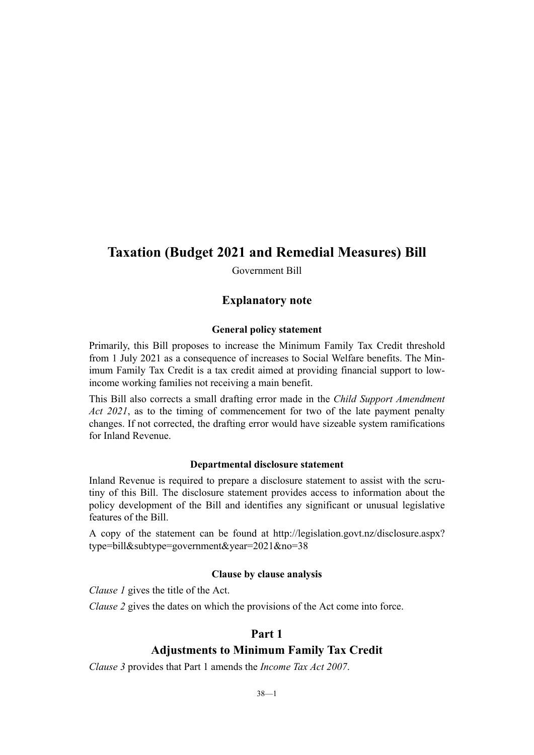## **Taxation (Budget 2021 and Remedial Measures) Bill**

Government Bill

## **Explanatory note**

#### **General policy statement**

Primarily, this Bill proposes to increase the Minimum Family Tax Credit threshold from 1 July 2021 as a consequence of increases to Social Welfare benefits. The Minimum Family Tax Credit is a tax credit aimed at providing financial support to lowincome working families not receiving a main benefit.

This Bill also corrects a small drafting error made in the *Child Support Amendment Act 2021*, as to the timing of commencement for two of the late payment penalty changes. If not corrected, the drafting error would have sizeable system ramifications for Inland Revenue.

#### **Departmental disclosure statement**

Inland Revenue is required to prepare a disclosure statement to assist with the scrutiny of this Bill. The disclosure statement provides access to information about the policy development of the Bill and identifies any significant or unusual legislative features of the Bill.

A copy of the statement can be found at [http://legislation.govt.nz/disclosure.aspx?](http://legislation.govt.nz/disclosure.aspx?type=bill&subtype=government&year=2021&no=38) [type=bill&subtype=government&year=2021&no=38](http://legislation.govt.nz/disclosure.aspx?type=bill&subtype=government&year=2021&no=38)

#### **Clause by clause analysis**

*Clause 1* gives the title of the Act.

*Clause 2* gives the dates on which the provisions of the Act come into force.

#### **Part 1**

## **Adjustments to Minimum Family Tax Credit**

*Clause 3* provides that Part 1 amends the *Income Tax Act 2007*.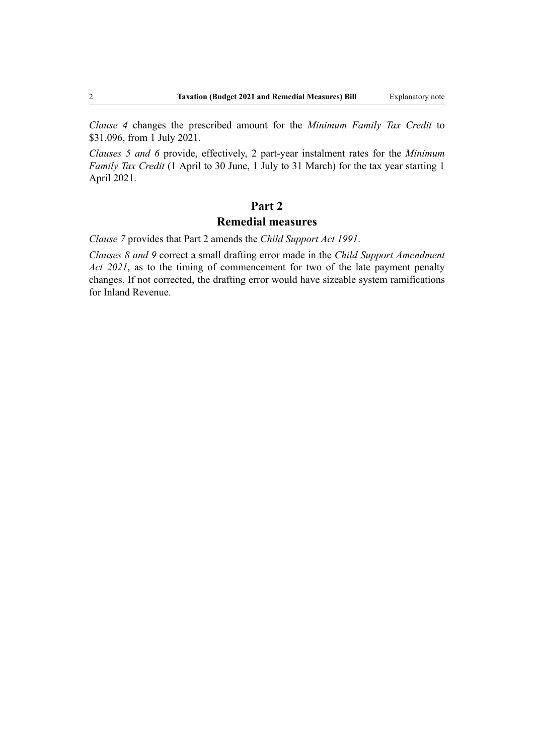*Clause 4* changes the prescribed amount for the *Minimum Family Tax Credit* to \$31,096, from 1 July 2021.

*Clauses 5 and 6* provide, effectively, 2 part-year instalment rates for the *Minimum Family Tax Credit* (1 April to 30 June, 1 July to 31 March) for the tax year starting 1 April 2021.

## **Part 2**

#### **Remedial measures**

*Clause 7* provides that Part 2 amends the *Child Support Act 1991*.

*Clauses 8 and 9* correct a small drafting error made in the *Child Support Amendment Act 2021*, as to the timing of commencement for two of the late payment penalty changes. If not corrected, the drafting error would have sizeable system ramifications for Inland Revenue.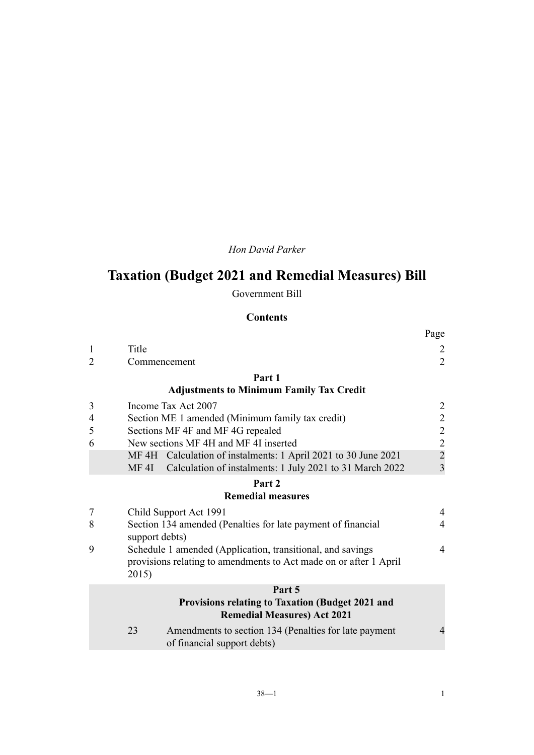*Hon David Parker*

# **Taxation (Budget 2021 and Remedial Measures) Bill**

Government Bill

## **Contents**

|                |                                                                                        |                                                                                      | Page                                            |  |  |
|----------------|----------------------------------------------------------------------------------------|--------------------------------------------------------------------------------------|-------------------------------------------------|--|--|
| $\mathbf{1}$   | Title                                                                                  |                                                                                      | $\overline{c}$                                  |  |  |
| $\overline{2}$ |                                                                                        | Commencement                                                                         | $\overline{2}$                                  |  |  |
|                |                                                                                        | Part 1                                                                               |                                                 |  |  |
|                |                                                                                        | <b>Adjustments to Minimum Family Tax Credit</b>                                      |                                                 |  |  |
| 3              |                                                                                        | Income Tax Act 2007                                                                  |                                                 |  |  |
| 4              | Section ME 1 amended (Minimum family tax credit)                                       |                                                                                      |                                                 |  |  |
| 5              | Sections MF 4F and MF 4G repealed                                                      |                                                                                      |                                                 |  |  |
| 6              | New sections MF 4H and MF 4I inserted                                                  |                                                                                      |                                                 |  |  |
|                |                                                                                        | MF 4H Calculation of instalments: 1 April 2021 to 30 June 2021                       | $\begin{array}{c} 2 \\ 2 \\ 2 \\ 2 \end{array}$ |  |  |
|                | MF 4I                                                                                  | Calculation of instalments: 1 July 2021 to 31 March 2022                             | 3                                               |  |  |
|                |                                                                                        | Part 2                                                                               |                                                 |  |  |
|                |                                                                                        | <b>Remedial measures</b>                                                             |                                                 |  |  |
| 7              |                                                                                        | Child Support Act 1991                                                               | $\overline{\mathcal{A}}$                        |  |  |
| 8              | Section 134 amended (Penalties for late payment of financial<br>support debts)         |                                                                                      |                                                 |  |  |
| 9              | Schedule 1 amended (Application, transitional, and savings                             |                                                                                      |                                                 |  |  |
|                | 2015)                                                                                  | provisions relating to amendments to Act made on or after 1 April                    |                                                 |  |  |
|                | Part 5                                                                                 |                                                                                      |                                                 |  |  |
|                | Provisions relating to Taxation (Budget 2021 and<br><b>Remedial Measures) Act 2021</b> |                                                                                      |                                                 |  |  |
|                | 23                                                                                     | Amendments to section 134 (Penalties for late payment<br>of financial support debts) | $\overline{4}$                                  |  |  |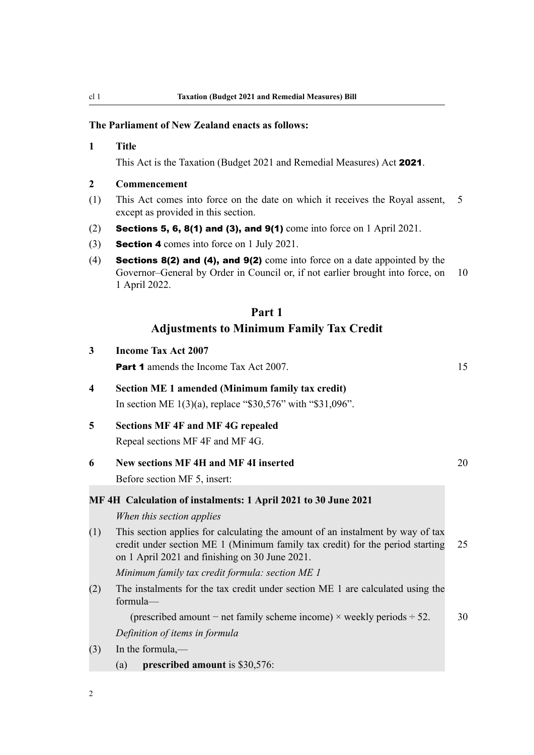#### **The Parliament of New Zealand enacts as follows:**

#### **1 Title**

This Act is the Taxation (Budget 2021 and Remedial Measures) Act 2021.

#### **2 Commencement**

**3 Income Tax Act 2007**

- (1) This Act comes into force on the date on which it receives the Royal assent, 5 except as provided in this section.
- (2) Sections 5, 6, 8(1) and (3), and 9(1) come into force on 1 April 2021.
- (3) Section 4 comes into force on 1 July 2021.
- (4) Sections  $8(2)$  and  $(4)$ , and  $9(2)$  come into force on a date appointed by the Governor–General by Order in Council or, if not earlier brought into force, on 10 1 April 2022.

## **Part 1 Adjustments to Minimum Family Tax Credit**

- **Part 1** amends the Income Tax Act 2007. 15 **4 Section ME 1 amended (Minimum family tax credit)** In section ME 1(3)(a), replace "\$30,576" with "\$31,096". **5 Sections MF 4F and MF 4G repealed** Repeal sections MF 4F and MF 4G. **6 New sections MF 4H and MF 4I inserted** 20 Before section MF 5, insert: **MF 4H Calculation of instalments: 1 April 2021 to 30 June 2021** *When this section applies* (1) This section applies for calculating the amount of an instalment by way of tax credit under section ME 1 (Minimum family tax credit) for the period starting 25 on 1 April 2021 and finishing on 30 June 2021. *Minimum family tax credit formula: section ME 1* (2) The instalments for the tax credit under section ME 1 are calculated using the formula— (prescribed amount – net family scheme income)  $\times$  weekly periods  $\div$  52. 30 *Definition of items in formula* (3) In the formula,—
	- (a) **prescribed amount** is \$30,576:

<span id="page-3-0"></span>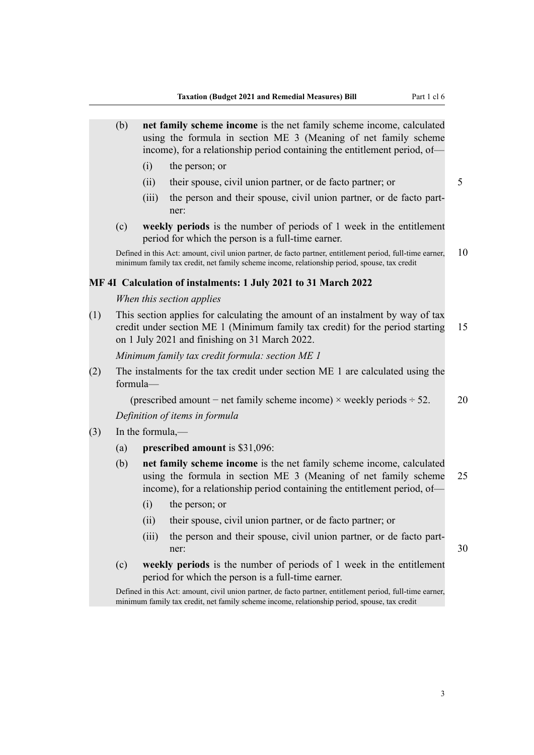<span id="page-4-0"></span>

|     | (b)                                                                                                                                                                                                               | net family scheme income is the net family scheme income, calculated<br>using the formula in section ME 3 (Meaning of net family scheme<br>income), for a relationship period containing the entitlement period, of- |                                                                                                                                                                                                                      |    |  |  |
|-----|-------------------------------------------------------------------------------------------------------------------------------------------------------------------------------------------------------------------|----------------------------------------------------------------------------------------------------------------------------------------------------------------------------------------------------------------------|----------------------------------------------------------------------------------------------------------------------------------------------------------------------------------------------------------------------|----|--|--|
|     |                                                                                                                                                                                                                   | (i)                                                                                                                                                                                                                  | the person; or                                                                                                                                                                                                       |    |  |  |
|     |                                                                                                                                                                                                                   | (ii)                                                                                                                                                                                                                 | their spouse, civil union partner, or de facto partner; or                                                                                                                                                           | 5  |  |  |
|     |                                                                                                                                                                                                                   | (iii)                                                                                                                                                                                                                | the person and their spouse, civil union partner, or de facto part-<br>ner:                                                                                                                                          |    |  |  |
|     | (c)                                                                                                                                                                                                               |                                                                                                                                                                                                                      | weekly periods is the number of periods of 1 week in the entitlement<br>period for which the person is a full-time earner.                                                                                           |    |  |  |
|     |                                                                                                                                                                                                                   |                                                                                                                                                                                                                      | Defined in this Act: amount, civil union partner, de facto partner, entitlement period, full-time earner,<br>minimum family tax credit, net family scheme income, relationship period, spouse, tax credit            | 10 |  |  |
|     |                                                                                                                                                                                                                   |                                                                                                                                                                                                                      | MF 4I Calculation of instalments: 1 July 2021 to 31 March 2022                                                                                                                                                       |    |  |  |
|     |                                                                                                                                                                                                                   |                                                                                                                                                                                                                      | When this section applies                                                                                                                                                                                            |    |  |  |
| (1) | This section applies for calculating the amount of an instalment by way of tax<br>credit under section ME 1 (Minimum family tax credit) for the period starting<br>on 1 July 2021 and finishing on 31 March 2022. |                                                                                                                                                                                                                      |                                                                                                                                                                                                                      |    |  |  |
|     | Minimum family tax credit formula: section ME 1                                                                                                                                                                   |                                                                                                                                                                                                                      |                                                                                                                                                                                                                      |    |  |  |
| (2) | The instalments for the tax credit under section ME 1 are calculated using the<br>formula-                                                                                                                        |                                                                                                                                                                                                                      |                                                                                                                                                                                                                      |    |  |  |
|     | (prescribed amount – net family scheme income) $\times$ weekly periods $\div$ 52.                                                                                                                                 |                                                                                                                                                                                                                      |                                                                                                                                                                                                                      | 20 |  |  |
|     | Definition of items in formula                                                                                                                                                                                    |                                                                                                                                                                                                                      |                                                                                                                                                                                                                      |    |  |  |
| (3) | In the formula,—                                                                                                                                                                                                  |                                                                                                                                                                                                                      |                                                                                                                                                                                                                      |    |  |  |
|     | (a)                                                                                                                                                                                                               |                                                                                                                                                                                                                      | prescribed amount is \$31,096:                                                                                                                                                                                       |    |  |  |
|     | (b)                                                                                                                                                                                                               |                                                                                                                                                                                                                      | net family scheme income is the net family scheme income, calculated<br>using the formula in section ME 3 (Meaning of net family scheme<br>income), for a relationship period containing the entitlement period, of— | 25 |  |  |
|     |                                                                                                                                                                                                                   | (i)                                                                                                                                                                                                                  | the person; or                                                                                                                                                                                                       |    |  |  |
|     |                                                                                                                                                                                                                   |                                                                                                                                                                                                                      | (ii) their spouse, civil union partner, or de facto partner; or                                                                                                                                                      |    |  |  |
|     |                                                                                                                                                                                                                   | (iii)                                                                                                                                                                                                                | the person and their spouse, civil union partner, or de facto part-<br>ner:                                                                                                                                          | 30 |  |  |
|     | (c)                                                                                                                                                                                                               |                                                                                                                                                                                                                      | weekly periods is the number of periods of 1 week in the entitlement<br>period for which the person is a full-time earner.                                                                                           |    |  |  |
|     |                                                                                                                                                                                                                   | Defined in this Act: amount, civil union partner, de facto partner, entitlement period, full-time earner,<br>minimum family tax credit, net family scheme income, relationship period, spouse, tax credit            |                                                                                                                                                                                                                      |    |  |  |
|     |                                                                                                                                                                                                                   |                                                                                                                                                                                                                      |                                                                                                                                                                                                                      |    |  |  |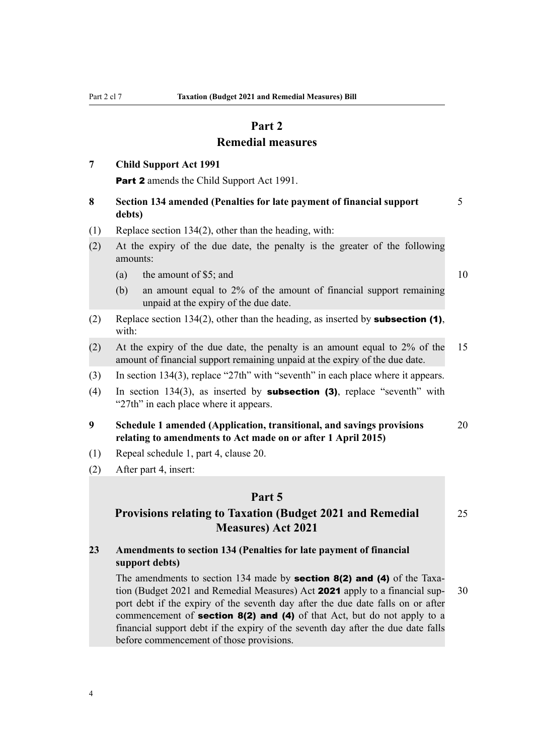## **Part 2**

## **Remedial measures**

## <span id="page-5-0"></span>**7 Child Support Act 1991**

**Part 2** amends the Child Support Act 1991.

- **8 Section 134 amended (Penalties for late payment of financial support** 5 **debts)**
- (1) Replace section 134(2), other than the heading, with:
- (2) At the expiry of the due date, the penalty is the greater of the following amounts:
	- (a) the amount of \$5; and  $10$
	- (b) an amount equal to 2% of the amount of financial support remaining unpaid at the expiry of the due date.
- (2) Replace section 134(2), other than the heading, as inserted by **subsection (1)**, with:
- (2) At the expiry of the due date, the penalty is an amount equal to 2% of the 15 amount of financial support remaining unpaid at the expiry of the due date.
- (3) In section 134(3), replace "27th" with "seventh" in each place where it appears.
- (4) In section 134(3), as inserted by **subsection (3)**, replace "seventh" with "27th" in each place where it appears.
- **9 Schedule 1 amended (Application, transitional, and savings provisions** 20 **relating to amendments to Act made on or after 1 April 2015)**
- (1) Repeal schedule 1, part 4, clause 20.
- (2) After part 4, insert:

#### **Part 5**

## **Provisions relating to Taxation (Budget 2021 and Remedial** 25 **Measures) Act 2021**

**23 Amendments to section 134 (Penalties for late payment of financial support debts)**

The amendments to section 134 made by **section 8(2) and (4)** of the Taxation (Budget 2021 and Remedial Measures) Act **2021** apply to a financial sup- $30$ port debt if the expiry of the seventh day after the due date falls on or after commencement of **section 8(2) and (4)** of that Act, but do not apply to a financial support debt if the expiry of the seventh day after the due date falls before commencement of those provisions.